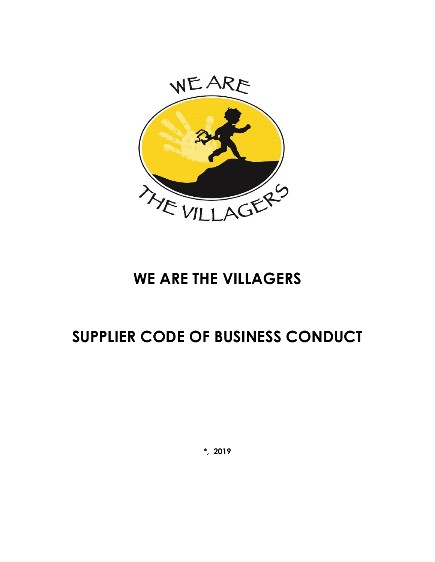

## **WE ARE THE VILLAGERS**

# **SUPPLIER CODE OF BUSINESS CONDUCT**

**\*, 2019**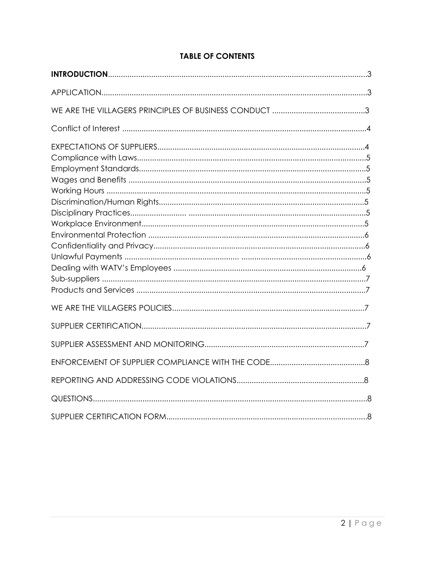## **TABLE OF CONTENTS**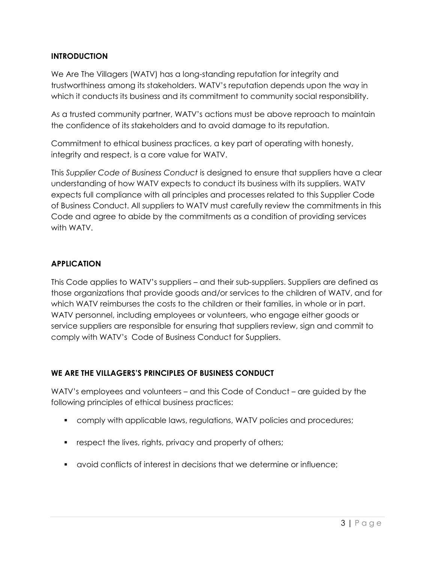## **INTRODUCTION**

We Are The Villagers (WATV) has a long-standing reputation for integrity and trustworthiness among its stakeholders. WATV's reputation depends upon the way in which it conducts its business and its commitment to community social responsibility.

As a trusted community partner, WATV's actions must be above reproach to maintain the confidence of its stakeholders and to avoid damage to its reputation.

Commitment to ethical business practices, a key part of operating with honesty, integrity and respect, is a core value for WATV.

This *Supplier Code of Business Conduct* is designed to ensure that suppliers have a clear understanding of how WATV expects to conduct its business with its suppliers. WATV expects full compliance with all principles and processes related to this Supplier Code of Business Conduct. All suppliers to WATV must carefully review the commitments in this Code and agree to abide by the commitments as a condition of providing services with WATV.

## **APPLICATION**

This Code applies to WATV's suppliers – and their sub-suppliers. Suppliers are defined as those organizations that provide goods and/or services to the children of WATV, and for which WATV reimburses the costs to the children or their families, in whole or in part. WATV personnel, including employees or volunteers, who engage either goods or service suppliers are responsible for ensuring that suppliers review, sign and commit to comply with WATV's Code of Business Conduct for Suppliers.

## **WE ARE THE VILLAGERS'S PRINCIPLES OF BUSINESS CONDUCT**

WATV's employees and volunteers – and this Code of Conduct – are guided by the following principles of ethical business practices:

- comply with applicable laws, regulations, WATV policies and procedures;
- **•** respect the lives, rights, privacy and property of others;
- avoid conflicts of interest in decisions that we determine or influence;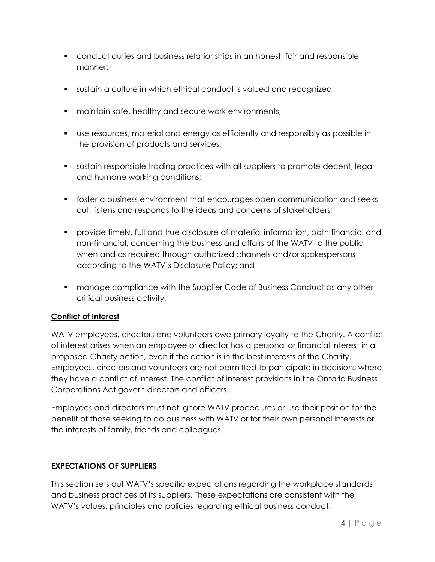- conduct duties and business relationships in an honest, fair and responsible manner;
- sustain a culture in which ethical conduct is valued and recognized;
- **EXECUTE:** maintain safe, healthy and secure work environments;
- use resources, material and energy as efficiently and responsibly as possible in the provision of products and services;
- sustain responsible trading practices with all suppliers to promote decent, legal and humane working conditions;
- foster a business environment that encourages open communication and seeks out, listens and responds to the ideas and concerns of stakeholders;
- provide timely, full and true disclosure of material information, both financial and non-financial, concerning the business and affairs of the WATV to the public when and as required through authorized channels and/or spokespersons according to the WATV's Disclosure Policy; and
- **manage compliance with the Supplier Code of Business Conduct as any other** critical business activity.

## **Conflict of Interest**

WATV employees, directors and volunteers owe primary loyalty to the Charity. A conflict of interest arises when an employee or director has a personal or financial interest in a proposed Charity action, even if the action is in the best interests of the Charity. Employees, directors and volunteers are not permitted to participate in decisions where they have a conflict of interest. The conflict of interest provisions in the Ontario Business Corporations Act govern directors and officers.

Employees and directors must not ignore WATV procedures or use their position for the benefit of those seeking to do business with WATV or for their own personal interests or the interests of family, friends and colleagues.

#### **EXPECTATIONS OF SUPPLIERS**

This section sets out WATV's specific expectations regarding the workplace standards and business practices of its suppliers. These expectations are consistent with the WATV's values, principles and policies regarding ethical business conduct.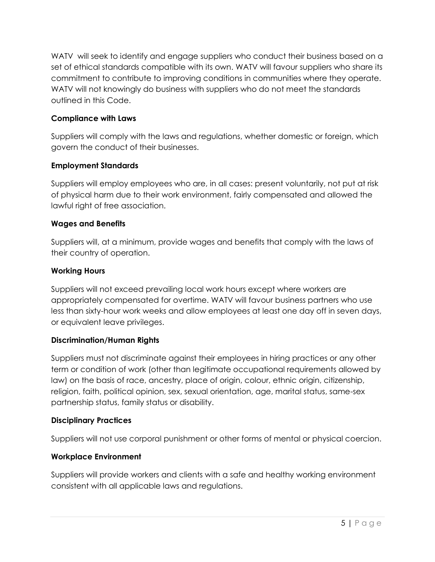WATV will seek to identify and engage suppliers who conduct their business based on a set of ethical standards compatible with its own. WATV will favour suppliers who share its commitment to contribute to improving conditions in communities where they operate. WATV will not knowingly do business with suppliers who do not meet the standards outlined in this Code.

## **Compliance with Laws**

Suppliers will comply with the laws and regulations, whether domestic or foreign, which govern the conduct of their businesses.

## **Employment Standards**

Suppliers will employ employees who are, in all cases: present voluntarily, not put at risk of physical harm due to their work environment, fairly compensated and allowed the lawful right of free association.

## **Wages and Benefits**

Suppliers will, at a minimum, provide wages and benefits that comply with the laws of their country of operation.

## **Working Hours**

Suppliers will not exceed prevailing local work hours except where workers are appropriately compensated for overtime. WATV will favour business partners who use less than sixty-hour work weeks and allow employees at least one day off in seven days, or equivalent leave privileges.

#### **Discrimination/Human Rights**

Suppliers must not discriminate against their employees in hiring practices or any other term or condition of work (other than legitimate occupational requirements allowed by law) on the basis of race, ancestry, place of origin, colour, ethnic origin, citizenship, religion, faith, political opinion, sex, sexual orientation, age, marital status, same-sex partnership status, family status or disability.

#### **Disciplinary Practices**

Suppliers will not use corporal punishment or other forms of mental or physical coercion.

## **Workplace Environment**

Suppliers will provide workers and clients with a safe and healthy working environment consistent with all applicable laws and regulations.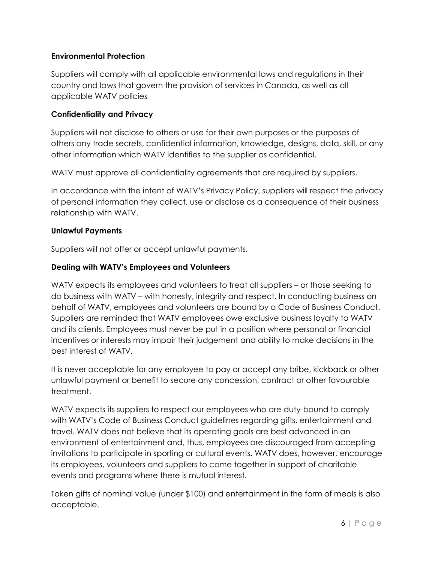## **Environmental Protection**

Suppliers will comply with all applicable environmental laws and regulations in their country and laws that govern the provision of services in Canada, as well as all applicable WATV policies

#### **Confidentiality and Privacy**

Suppliers will not disclose to others or use for their own purposes or the purposes of others any trade secrets, confidential information, knowledge, designs, data, skill, or any other information which WATV identifies to the supplier as confidential.

WATV must approve all confidentiality agreements that are required by suppliers.

In accordance with the intent of WATV's Privacy Policy, suppliers will respect the privacy of personal information they collect, use or disclose as a consequence of their business relationship with WATV.

#### **Unlawful Payments**

Suppliers will not offer or accept unlawful payments.

## **Dealing with WATV's Employees and Volunteers**

WATV expects its employees and volunteers to treat all suppliers – or those seeking to do business with WATV – with honesty, integrity and respect. In conducting business on behalf of WATV, employees and volunteers are bound by a Code of Business Conduct. Suppliers are reminded that WATV employees owe exclusive business loyalty to WATV and its clients. Employees must never be put in a position where personal or financial incentives or interests may impair their judgement and ability to make decisions in the best interest of WATV.

It is never acceptable for any employee to pay or accept any bribe, kickback or other unlawful payment or benefit to secure any concession, contract or other favourable treatment.

WATV expects its suppliers to respect our employees who are duty-bound to comply with WATV's Code of Business Conduct guidelines regarding gifts, entertainment and travel. WATV does not believe that its operating goals are best advanced in an environment of entertainment and, thus, employees are discouraged from accepting invitations to participate in sporting or cultural events. WATV does, however, encourage its employees, volunteers and suppliers to come together in support of charitable events and programs where there is mutual interest.

Token gifts of nominal value (under \$100) and entertainment in the form of meals is also acceptable.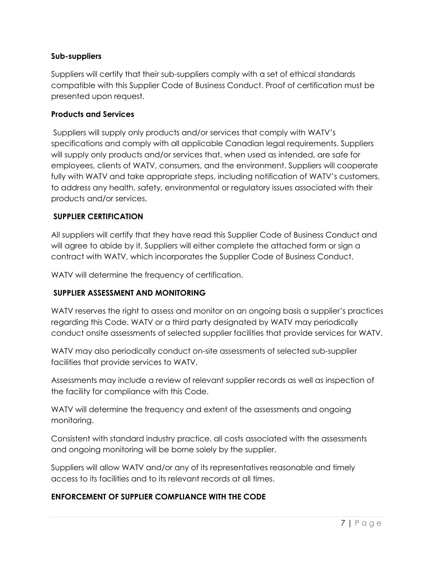#### **Sub-suppliers**

Suppliers will certify that their sub-suppliers comply with a set of ethical standards compatible with this Supplier Code of Business Conduct. Proof of certification must be presented upon request.

#### **Products and Services**

Suppliers will supply only products and/or services that comply with WATV's specifications and comply with all applicable Canadian legal requirements. Suppliers will supply only products and/or services that, when used as intended, are safe for employees, clients of WATV, consumers, and the environment. Suppliers will cooperate fully with WATV and take appropriate steps, including notification of WATV's customers, to address any health, safety, environmental or regulatory issues associated with their products and/or services.

## **SUPPLIER CERTIFICATION**

All suppliers will certify that they have read this Supplier Code of Business Conduct and will agree to abide by it. Suppliers will either complete the attached form or sign a contract with WATV, which incorporates the Supplier Code of Business Conduct.

WATV will determine the frequency of certification.

#### **SUPPLIER ASSESSMENT AND MONITORING**

WATV reserves the right to assess and monitor on an ongoing basis a supplier's practices regarding this Code. WATV or a third party designated by WATV may periodically conduct onsite assessments of selected supplier facilities that provide services for WATV.

WATV may also periodically conduct on-site assessments of selected sub-supplier facilities that provide services to WATV.

Assessments may include a review of relevant supplier records as well as inspection of the facility for compliance with this Code.

WATV will determine the frequency and extent of the assessments and ongoing monitoring.

Consistent with standard industry practice, all costs associated with the assessments and ongoing monitoring will be borne solely by the supplier.

Suppliers will allow WATV and/or any of its representatives reasonable and timely access to its facilities and to its relevant records at all times.

## **ENFORCEMENT OF SUPPLIER COMPLIANCE WITH THE CODE**